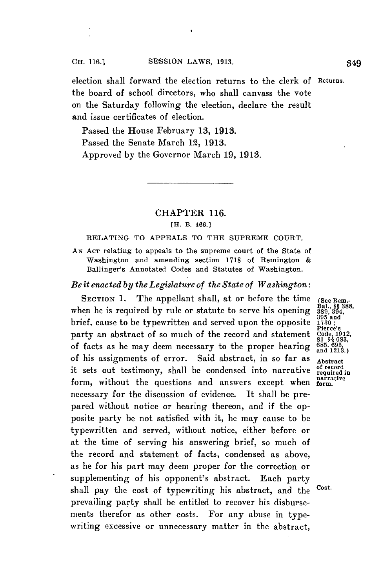election shall forward the election returns to the clerk of Returns. the board of school directors, who shall canvass the vote on the Saturday following the election, declare the result and issue certificates of election.

Passed the House February **13, 1913.** Passed the Senate March 12, **1913.** Approved **by** the Governor March **19, 1913.**

## CHAPTER **116.**

## **[H. B. 466.]**

## RELATING TO **APPEALS** TO THE **SUPREME COURT.**

**AN ACT** relating to appeals to the supreme court of the State of Washington and amending section **1718** of Remington **&** Ballinger's Annotated Codes and Statutes of Washington.

## *Be it enacted by the Legislature of the State of Washington:*

SECTION 1. The appellant shall, at or before the time (See Rem.-<br>len he is required by rule or statute to serve his opening 389, 394. when he is required by rule or statute to serve his opening  $\frac{389}{389,394}$ <br>brief, cause to be typewritten and served upon the opposite **1730**; party an abstract of so much of the record and statement of facts as he may deem necessary to the proper hearing of his assignments of error. Said abstract, in so far as Abstract it sets out testimony, shall be condensed into narrative  $\frac{1}{2}$  record in the questions and answers except when  $\frac{1}{2}$  parrative form, without the questions and answers except when necessary for the discussion of evidence. It shall be prepared without notice or hearing thereon, and if the opposite party be not satisfied with it, he may cause to be typewritten and served, without notice, either before or at the time of serving his answering brief, so much of the record and statement of facts, condensed as above, as he for his part may deem proper for the correction or supplementing of his opponent's abstract. Each party shall pay the cost of typewriting his abstract, and the Cost. prevailing party shall be entitled to recover his disbursements therefor as other costs. For any abuse in typewriting excessive or unnecessary matter in the abstract,

Pierce's<br>Code, 191**2,**<br>81 §§ 683,<br>685, 695,<br>and 1213.)